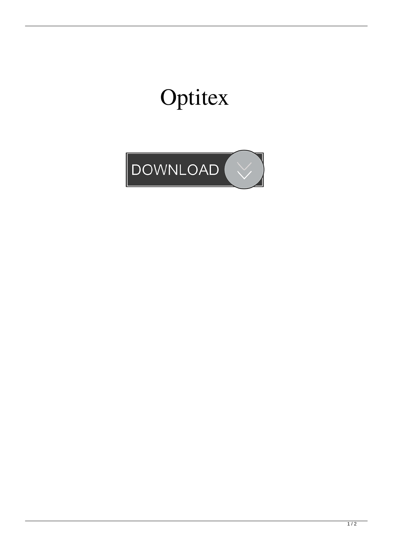## Optitex